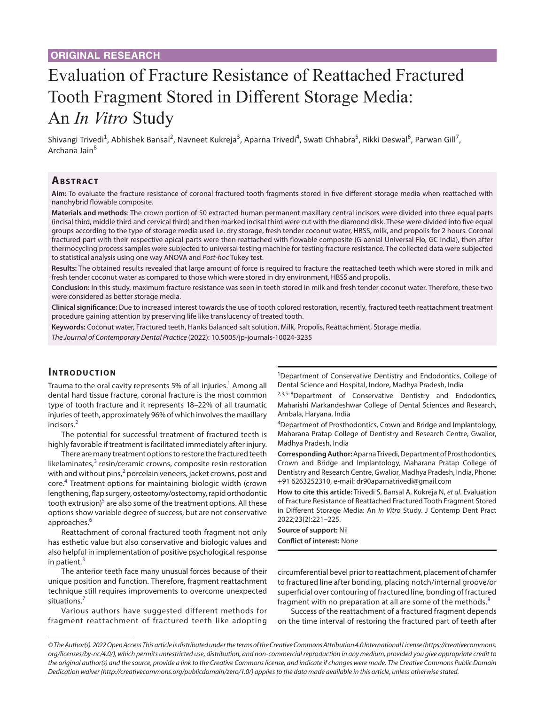# Evaluation of Fracture Resistance of Reattached Fractured Tooth Fragment Stored in Different Storage Media: An *In Vitro* Study

Shivangi Trivedi<sup>1</sup>, Abhishek Bansal<sup>2</sup>, Navneet Kukreja<sup>3</sup>, Aparna Trivedi<sup>4</sup>, Swati Chhabra<sup>5</sup>, Rikki Deswal<sup>6</sup>, Parwan Gill<sup>7</sup>, Archana Jain<sup>8</sup>

## **Ab s t rac t**

**Aim:** To evaluate the fracture resistance of coronal fractured tooth fragments stored in five different storage media when reattached with nanohybrid flowable composite.

**Materials and methods**: The crown portion of 50 extracted human permanent maxillary central incisors were divided into three equal parts (incisal third, middle third and cervical third) and then marked incisal third were cut with the diamond disk. These were divided into five equal groups according to the type of storage media used i.e. dry storage, fresh tender coconut water, HBSS, milk, and propolis for 2 hours. Coronal fractured part with their respective apical parts were then reattached with flowable composite (G-aenial Universal Flo, GC India), then after thermocycling process samples were subjected to universal testing machine for testing fracture resistance. The collected data were subjected to statistical analysis using one way ANOVA and *Post-hoc* Tukey test.

**Results:** The obtained results revealed that large amount of force is required to fracture the reattached teeth which were stored in milk and fresh tender coconut water as compared to those which were stored in dry environment, HBSS and propolis.

**Conclusion:** In this study, maximum fracture resistance was seen in teeth stored in milk and fresh tender coconut water. Therefore, these two were considered as better storage media.

**Clinical significance:** Due to increased interest towards the use of tooth colored restoration, recently, fractured teeth reattachment treatment procedure gaining attention by preserving life like translucency of treated tooth.

**Keywords:** Coconut water, Fractured teeth, Hanks balanced salt solution, Milk, Propolis, Reattachment, Storage media.

*The Journal of Contemporary Dental Practice* (2022): 10.5005/jp-journals-10024-3235

#### **INTRODUCTION**

Trauma to the oral cavity represents 5% of all injuries.<sup>1</sup> Among all dental hard tissue fracture, coronal fracture is the most common type of tooth fracture and it represents 18–22% of all traumatic injuries of teeth, approximately 96% of which involves the maxillary incisors.[2](#page-3-1)

The potential for successful treatment of fractured teeth is highly favorable if treatment is facilitated immediately after injury.

There are many treatment options to restore the fractured teeth likelaminates, $3$  resin/ceramic crowns, composite resin restoration with and without pins, $^2$  $^2$  porcelain veneers, jacket crowns, post and core.<sup>[4](#page-3-3)</sup> Treatment options for maintaining biologic width (crown lengthening, flap surgery, osteotomy/ostectomy, rapid orthodontic tooth extrusion) $^5$  $^5$  are also some of the treatment options. All these options show variable degree of success, but are not conservative approaches.<sup>[6](#page-3-5)</sup>

Reattachment of coronal fractured tooth fragment not only has esthetic value but also conservative and biologic values and also helpful in implementation of positive psychological response in patient. $3$ 

The anterior teeth face many unusual forces because of their unique position and function. Therefore, fragment reattachment technique still requires improvements to overcome unexpected situations.[7](#page-3-6)

Various authors have suggested different methods for fragment reattachment of fractured teeth like adopting

<sup>1</sup>Department of Conservative Dentistry and Endodontics, College of Dental Science and Hospital, Indore, Madhya Pradesh, India

2,3,5-8Department of Conservative Dentistry and Endodontics, Maharishi Markandeshwar College of Dental Sciences and Research, Ambala, Haryana, India

4 Department of Prosthodontics, Crown and Bridge and Implantology, Maharana Pratap College of Dentistry and Research Centre, Gwalior, Madhya Pradesh, India

**Corresponding Author:** Aparna Trivedi, Department of Prosthodontics, Crown and Bridge and Implantology, Maharana Pratap College of Dentistry and Research Centre, Gwalior, Madhya Pradesh, India, Phone: +91 6263252310, e-mail: dr90aparnatrivedi@gmail.com

**How to cite this article:** Trivedi S, Bansal A, Kukreja N, *et al*. Evaluation of Fracture Resistance of Reattached Fractured Tooth Fragment Stored in Different Storage Media: An *In Vitro* Study. J Contemp Dent Pract 2022;23(2):221–225.

**Source of support:** Nil **Conflict of interest:** None

circumferential bevel prior to reattachment, placement of chamfer to fractured line after bonding, placing notch/internal groove/or superficial over contouring of fractured line, bonding of fractured fragment with no preparation at all are some of the methods. $8$ 

Success of the reattachment of a fractured fragment depends on the time interval of restoring the fractured part of teeth after

*<sup>©</sup> The Author(s). 2022 Open Access This article is distributed under the terms of the Creative Commons Attribution 4.0 International License ([https://creativecommons.](Tables 1)  [org/licenses/by-nc/4.0/](Tables 1)), which permits unrestricted use, distribution, and non-commercial reproduction in any medium, provided you give appropriate credit to the original author(s) and the source, provide a link to the Creative Commons license, and indicate if changes were made. The Creative Commons Public Domain Dedication waiver ([http://creativecommons.org/publicdomain/zero/1.0/\)](http://creativecommons.org/publicdomain/zero/1.0/) applies to the data made available in this article, unless otherwise stated.*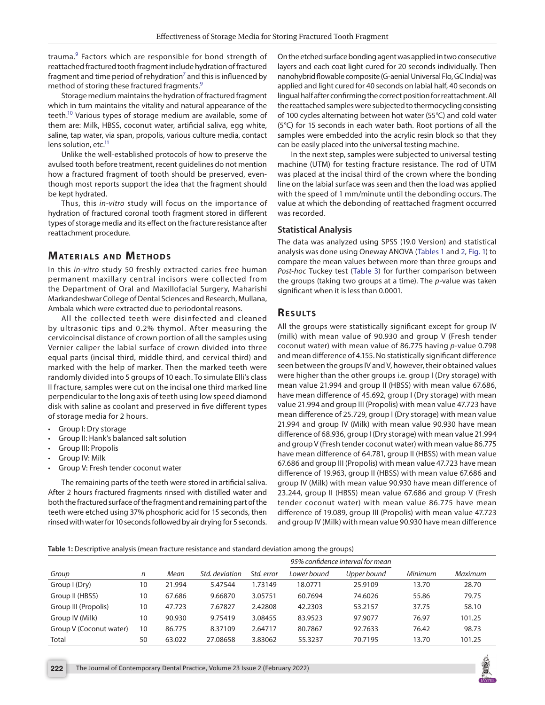trauma.<sup>[9](#page-3-8)</sup> Factors which are responsible for bond strength of reattached fractured tooth fragment include hydration of fractured fragment and time period of rehydration<sup>[7](#page-3-6)</sup> and this is influenced by method of storing these fractured fragments.<sup>[9](#page-3-8)</sup>

Storage medium maintains the hydration of fractured fragment which in turn maintains the vitality and natural appearance of the teeth.<sup>10</sup> Various types of storage medium are available, some of them are: Milk, HBSS, coconut water, artificial saliva, egg white, saline, tap water, via span, propolis, various culture media, contact lens solution, etc.<sup>11</sup>

Unlike the well-established protocols of how to preserve the avulsed tooth before treatment, recent guidelines do not mention how a fractured fragment of tooth should be preserved, eventhough most reports support the idea that the fragment should be kept hydrated.

Thus, this *in-vitro* study will focus on the importance of hydration of fractured coronal tooth fragment stored in different types of storage media and its effect on the fracture resistance after reattachment procedure.

## **MATERIALS AND METHODS**

In this *in-vitro* study 50 freshly extracted caries free human permanent maxillary central incisors were collected from the Department of Oral and Maxillofacial Surgery, Maharishi Markandeshwar College of Dental Sciences and Research, Mullana, Ambala which were extracted due to periodontal reasons.

All the collected teeth were disinfected and cleaned by ultrasonic tips and 0.2% thymol. After measuring the cervicoincisal distance of crown portion of all the samples using Vernier caliper the labial surface of crown divided into three equal parts (incisal third, middle third, and cervical third) and marked with the help of marker. Then the marked teeth were randomly divided into 5 groups of 10 each. To simulate Elli's class II fracture, samples were cut on the incisal one third marked line perpendicular to the long axis of teeth using low speed diamond disk with saline as coolant and preserved in five different types of storage media for 2 hours.

- Group I: Dry storage
- Group II: Hank's balanced salt solution
- Group III: Propolis
- Group IV: Milk
- Group V: Fresh tender coconut water

The remaining parts of the teeth were stored in artificial saliva. After 2 hours fractured fragments rinsed with distilled water and both the fractured surface of the fragment and remaining part of the teeth were etched using 37% phosphoric acid for 15 seconds, then rinsed with water for 10 seconds followed by air drying for 5 seconds.

On the etched surface bonding agent was applied in two consecutive layers and each coat light cured for 20 seconds individually. Then nanohybrid flowable composite (G-aenial Universal Flo, GC India) was applied and light cured for 40 seconds on labial half, 40 seconds on lingual half after confirming the correct position for reattachment. All the reattached samples were subjected to thermocycling consisting of 100 cycles alternating between hot water (55*°*C) and cold water (5*°*C) for 15 seconds in each water bath. Root portions of all the samples were embedded into the acrylic resin block so that they can be easily placed into the universal testing machine.

In the next step, samples were subjected to universal testing machine (UTM) for testing fracture resistance. The rod of UTM was placed at the incisal third of the crown where the bonding line on the labial surface was seen and then the load was applied with the speed of 1 mm/minute until the debonding occurs. The value at which the debonding of reattached fragment occurred was recorded.

#### **Statistical Analysis**

The data was analyzed using SPSS (19.0 Version) and statistical analysis was done using Oneway ANOVA [\(Tables 1](#page-1-0) and [2,](#page-2-0) [Fig. 1\)](#page-2-1) to compare the mean values between more than three groups and *Post-hoc* Tuckey test ([Table 3](#page-2-2)) for further comparison between the groups (taking two groups at a time). The *p*-value was taken significant when it is less than 0.0001.

### **RESULTS**

All the groups were statistically significant except for group IV (milk) with mean value of 90.930 and group V (Fresh tender coconut water) with mean value of 86.775 having *p*-value 0.798 and mean difference of 4.155. No statistically significant difference seen between the groups IV and V, however, their obtained values were higher than the other groups i.e. group I (Dry storage) with mean value 21.994 and group II (HBSS) with mean value 67.686, have mean difference of 45.692, group I (Dry storage) with mean value 21.994 and group III (Propolis) with mean value 47.723 have mean difference of 25.729, group I (Dry storage) with mean value 21.994 and group IV (Milk) with mean value 90.930 have mean difference of 68.936, group I (Dry storage) with mean value 21.994 and group V (Fresh tender coconut water) with mean value 86.775 have mean difference of 64.781, group II (HBSS) with mean value 67.686 and group III (Propolis) with mean value 47.723 have mean difference of 19.963, group II (HBSS) with mean value 67.686 and group IV (Milk) with mean value 90.930 have mean difference of 23.244, group II (HBSS) mean value 67.686 and group V (Fresh tender coconut water) with mean value 86.775 have mean difference of 19.089, group III (Propolis) with mean value 47.723 and group IV (Milk) with mean value 90.930 have mean difference

#### <span id="page-1-0"></span>**Table 1:** Descriptive analysis (mean fracture resistance and standard deviation among the groups)

|                         |    |        |                |            | 95% confidence interval for mean |             |         |         |
|-------------------------|----|--------|----------------|------------|----------------------------------|-------------|---------|---------|
| Group                   | n  | Mean   | Std. deviation | Std. error | Lower bound                      | Upper bound | Minimum | Maximum |
| Group I (Dry)           | 10 | 21.994 | 5.47544        | 1.73149    | 18.0771                          | 25.9109     | 13.70   | 28.70   |
| Group II (HBSS)         | 10 | 67.686 | 9.66870        | 3.05751    | 60.7694                          | 74.6026     | 55.86   | 79.75   |
| Group III (Propolis)    | 10 | 47.723 | 7.67827        | 2.42808    | 42.2303                          | 53.2157     | 37.75   | 58.10   |
| Group IV (Milk)         | 10 | 90.930 | 9.75419        | 3.08455    | 83.9523                          | 97.9077     | 76.97   | 101.25  |
| Group V (Coconut water) | 10 | 86.775 | 8.37109        | 2.64717    | 80.7867                          | 92.7633     | 76.42   | 98.73   |
| Total                   | 50 | 63.022 | 27.08658       | 3.83062    | 55.3237                          | 70.7195     | 13.70   | 101.25  |

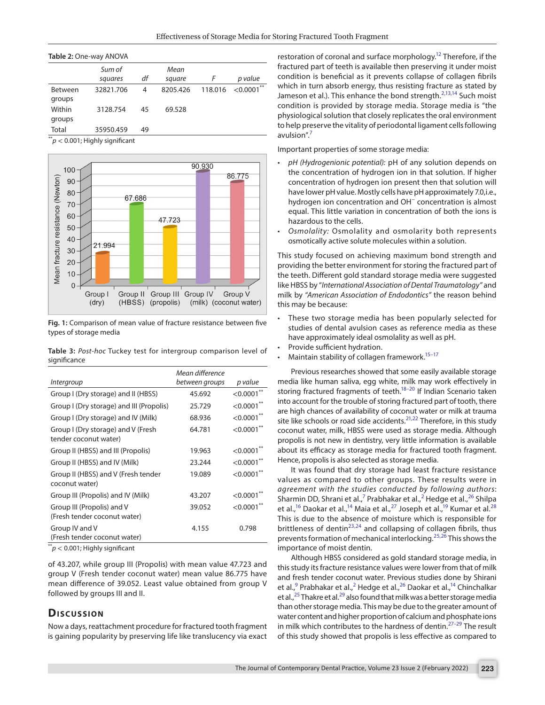<span id="page-2-0"></span>

|  |  | Table 2: One-way ANOVA |  |
|--|--|------------------------|--|
|--|--|------------------------|--|

|                | Sum of<br>squares | df | Mean<br>square |         | p value        |
|----------------|-------------------|----|----------------|---------|----------------|
| <b>Between</b> | 32821.706         | 4  | 8205.426       | 118,016 | $<$ 0.0001 $*$ |
| groups         |                   |    |                |         |                |
| Within         | 3128.754          | 45 | 69.528         |         |                |
| groups         |                   |    |                |         |                |
| Total          | 35950.459         | 49 |                |         |                |

 $p^*$   $> 0.001$ ; Highly significant



<span id="page-2-1"></span>**Fig. 1:** Comparison of mean value of fracture resistance between five types of storage media

<span id="page-2-2"></span>**Table 3:** *Post-hoc* Tuckey test for intergroup comparison level of significance

|                                                             | Mean difference |               |
|-------------------------------------------------------------|-----------------|---------------|
| Intergroup                                                  | between groups  | p value       |
| Group I (Dry storage) and II (HBSS)                         | 45.692          | $<$ 0.0001**  |
| Group I (Dry storage) and III (Propolis)                    | 25.729          | < 0.0001      |
| Group I (Dry storage) and IV (Milk)                         | 68.936          | $< 0.0001$ ** |
| Group I (Dry storage) and V (Fresh<br>tender coconut water) | 64.781          | < 0.0001      |
| Group II (HBSS) and III (Propolis)                          | 19.963          | < 0.0001      |
| Group II (HBSS) and IV (Milk)                               | 23.244          | < 0.0001      |
| Group II (HBSS) and V (Fresh tender<br>coconut water)       | 19.089          | $<0.0001$ **  |
| Group III (Propolis) and IV (Milk)                          | 43.207          | < 0.0001      |
| Group III (Propolis) and V<br>(Fresh tender coconut water)  | 39.052          | < 0.0001      |
| Group IV and V<br>(Fresh tender coconut water)              | 4.155           | 0.798         |

 $p^*$ *p* < 0.001; Highly significant

of 43.207, while group III (Propolis) with mean value 47.723 and group V (Fresh tender coconut water) mean value 86.775 have mean difference of 39.052. Least value obtained from group V followed by groups III and II.

## **Discussion**

Now a days, reattachment procedure for fractured tooth fragment is gaining popularity by preserving life like translucency via exact

restoration of coronal and surface morphology.<sup>12</sup> Therefore, if the fractured part of teeth is available then preserving it under moist condition is beneficial as it prevents collapse of collagen fibrils which in turn absorb energy, thus resisting fracture as stated by Jameson et al.). This enhance the bond strength.<sup>[2](#page-3-1)[,13,](#page-3-12)14</sup> Such moist condition is provided by storage media. Storage media is "the physiological solution that closely replicates the oral environment to help preserve the vitality of periodontal ligament cells following  $avulsion''$ <sup>[7](#page-3-6)</sup>

Important properties of some storage media:

- *pH (Hydrogenionic potential):* pH of any solution depends on the concentration of hydrogen ion in that solution. If higher concentration of hydrogen ion present then that solution will have lower pH value. Mostly cells have pH approximately 7.0,i.e., hydrogen ion concentration and OH<sup>−</sup> concentration is almost equal. This little variation in concentration of both the ions is hazardous to the cells.
- *Osmolality:* Osmolality and osmolarity both represents osmotically active solute molecules within a solution.

This study focused on achieving maximum bond strength and providing the better environment for storing the fractured part of the teeth. Different gold standard storage media were suggested like HBSS by "*International Association of Dental Traumatology"* and milk by "*American Association of Endodontics"* the reason behind this may be because:

- These two storage media has been popularly selected for studies of dental avulsion cases as reference media as these have approximately ideal osmolality as well as pH.
- Provide sufficient hydration.
- Maintain stability of collagen framework. $15-17$  $15-17$

Previous researches showed that some easily available storage media like human saliva, egg white, milk may work effectively in storing fractured fragments of teeth.<sup>18-[20](#page-3-17)</sup> If Indian Scenario taken into account for the trouble of storing fractured part of tooth, there are high chances of availability of coconut water or milk at trauma site like schools or road side accidents.<sup>[21](#page-3-18),22</sup> Therefore, in this study coconut water, milk, HBSS were used as storage media. Although propolis is not new in dentistry, very little information is available about its efficacy as storage media for fractured tooth fragment. Hence, propolis is also selected as storage media.

It was found that dry storage had least fracture resistance values as compared to other groups. These results were in *agreement with the studies conducted by following authors*: Sharmin DD, Shrani et al.,<sup>7</sup> Prabhakar et al.,<sup>[2](#page-3-1)</sup> Hedge et al.,<sup>26</sup> Shilpa et al.,<sup>16</sup> Daokar et al.,<sup>14</sup> Maia et al.,<sup>27</sup> Joseph et al.,<sup>19</sup> Kumar et al.<sup>28</sup> This is due to the absence of moisture which is responsible for brittleness of dentin<sup>23,[24](#page-3-23)</sup> and collapsing of collagen fibrils, thus prevents formation of mechanical interlocking.[25](#page-3-24),[26](#page-4-0) This shows the importance of moist dentin.

Although HBSS considered as gold standard storage media, in this study its fracture resistance values were lower from that of milk and fresh tender coconut water. Previous studies done by Shirani et al.,<sup>[9](#page-3-8)</sup> Prabhakar et al.,<sup>[2](#page-3-1)</sup> Hedge et al.,<sup>26</sup> Daokar et al.,<sup>14</sup> Chinchalkar et al., $^{25}$  Thakre et al.<sup>29</sup> also found that milk was a better storage media than other storage media. This may be due to the greater amount of water content and higher proportion of calcium and phosphate ions in milk which contributes to the hardness of dentin.<sup>27-[29](#page-4-3)</sup> The result of this study showed that propolis is less effective as compared to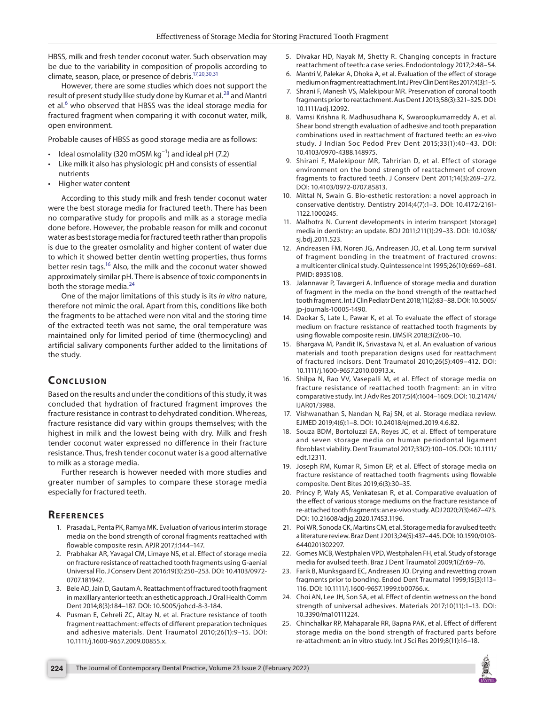HBSS, milk and fresh tender coconut water. Such observation may be due to the variability in composition of propolis according to climate, season, place, or presence of debris[.17](#page-3-15)[,20](#page-3-17)[,30](#page-4-4)[,31](#page-4-5)

However, there are some *s*tudies which does not support the result of present study like study done by Kumar et al.<sup>28</sup> and Mantri et al.<sup>[6](#page-3-5)</sup> who observed that HBSS was the ideal storage media for fractured fragment when comparing it with coconut water, milk, open environment.

Probable causes of HBSS as good storage media are as follows:

- Ideal osmolality (320 mOSM kg<sup>-1</sup>) and ideal pH (7.2)
- Like milk it also has physiologic pH and consists of essential nutrients
- Higher water content

According to this study milk and fresh tender coconut water were the best storage media for fractured teeth. There has been no comparative study for propolis and milk as a storage media done before. However, the probable reason for milk and coconut water as best storage media for fractured teeth rather than propolis is due to the greater osmolality and higher content of water due to which it showed better dentin wetting properties, thus forms better resin tags.<sup>16</sup> Also, the milk and the coconut water showed approximately similar pH. There is absence of toxic components in both the storage media.<sup>[24](#page-3-23)</sup>

One of the major limitations of this study is its *in vitro* nature, therefore not mimic the oral. Apart from this, conditions like both the fragments to be attached were non vital and the storing time of the extracted teeth was not same, the oral temperature was maintained only for limited period of time (thermocycling) and artificial salivary components further added to the limitations of the study.

# **CONCLUSION**

Based on the results and under the conditions of this study, it was concluded that hydration of fractured fragment improves the fracture resistance in contrast to dehydrated condition. Whereas, fracture resistance did vary within groups themselves; with the highest in milk and the lowest being with dry. Milk and fresh tender coconut water expressed no difference in their fracture resistance. Thus, fresh tender coconut water is a good alternative to milk as a storage media.

Further research is however needed with more studies and greater number of samples to compare these storage media especially for fractured teeth.

#### **REFERENCES**

- <span id="page-3-0"></span>1. Prasada L, Penta PK, Ramya MK. Evaluation of various interim storage media on the bond strength of coronal fragments reattached with flowable composite resin. APJR 2017;I:144–147.
- <span id="page-3-1"></span>2. Prabhakar AR, Yavagal CM, Limaye NS, et al. Effect of storage media on fracture resistance of reattached tooth fragments using G-aenial Universal Flo. J Conserv Dent 2016;19(3):250–253. DOI: 10.4103/0972- 0707.181942.
- <span id="page-3-2"></span>3. Bele AD, Jain D, Gautam A. Reattachment of fractured tooth fragment in maxillary anterior teeth: an esthetic approach. J Oral Health Comm Dent 2014;8(3):184–187. DOI: 10.5005/johcd-8-3-184.
- <span id="page-3-3"></span>4. Pusman E, Cehreli ZC, Altay N, et al. Fracture resistance of tooth fragment reattachment: effects of different preparation techniques and adhesive materials. Dent Traumatol 2010;26(1):9–15. DOI: 10.1111/j.1600-9657.2009.00855.x.
- <span id="page-3-4"></span>5. Divakar HD, Nayak M, Shetty R. Changing concepts in fracture reattachment of teeth: a case series. Endodontology 2017;2:48–54.
- <span id="page-3-5"></span>6. Mantri V, Palekar A, Dhoka A, et al. Evaluation of the effect of storage medium on fragment reattachment. Int J Prev Clin Dent Res 2017;4(3):1–5.
- <span id="page-3-6"></span>7. Shrani F, Manesh VS, Malekipour MR. Preservation of coronal tooth fragments prior to reattachment. Aus Dent J 2013;58(3):321–325. DOI: 10.1111/adj.12092.
- <span id="page-3-7"></span>Vamsi Krishna R, Madhusudhana K, Swaroopkumarreddy A, et al. Shear bond strength evaluation of adhesive and tooth preparation combinations used in reattachment of fractured teeth: an ex-vivo study. J Indian Soc Pedod Prev Dent 2015;33(1):40–43. DOI: 10.4103/0970-4388.148975.
- <span id="page-3-8"></span>9. Shirani F, Malekipour MR, Tahririan D, et al. Effect of storage environment on the bond strength of reattachment of crown fragments to fractured teeth. J Conserv Dent 2011;14(3):269–272. DOI: 10.4103/0972-0707.85813.
- <span id="page-3-9"></span>10. Mittal N, Swain G. Bio-esthetic restoration: a novel approach in conservative dentistry. Dentistry 2014;4(7):1–3. DOI: 10.4172/2161- 1122.1000245.
- <span id="page-3-10"></span>11. Malhotra N. Current developments in interim transport (storage) media in dentistry: an update. BDJ 2011;211(1):29–33. DOI: 10.1038/ sj.bdj.2011.523.
- <span id="page-3-11"></span>12. Andreasen FM, Noren JG, Andreasen JO, et al. Long term survival of fragment bonding in the treatment of fractured crowns: a multicenter clinical study. Quintessence Int 1995;26(10):669–681. PMID: 8935108.
- <span id="page-3-12"></span>13. Jalannavar P, Tavargeri A. Influence of storage media and duration of fragment in the media on the bond strength of the reattached tooth fragment. Int J Clin Pediatr Dent 2018;11(2):83–88. DOI: 10.5005/ jp-journals-10005-1490.
- <span id="page-3-13"></span>14. Daokar S, Late L, Pawar K, et al. To evaluate the effect of storage medium on fracture resistance of reattached tooth fragments by using flowable composite resin. IJMSIR 2018;3(2):06–10.
- <span id="page-3-14"></span>15. Bhargava M, Pandit IK, Srivastava N, et al. An evaluation of various materials and tooth preparation designs used for reattachment of fractured incisors. Dent Traumatol 2010;26(5):409–412. DOI: 10.1111/j.1600-9657.2010.00913.x.
- <span id="page-3-20"></span>16. Shilpa N, Rao VV, Vasepalli M, et al. Effect of storage media on fracture resistance of reattached tooth fragment: an in vitro comparative study. Int J Adv Res 2017;5(4):1604–1609. DOI: 10.21474/ IJAR01/3988.
- <span id="page-3-15"></span>17. Vishwanathan S, Nandan N, Raj SN, et al. Storage media:a review. EJMED 2019;4(6):1–8. DOI: 10.24018/ejmed.2019.4.6.82.
- <span id="page-3-16"></span>18. Souza BDM, Bortoluzzi EA, Reyes JC, et al. Effect of temperature and seven storage media on human periodontal ligament fibroblast viability. Dent Traumatol 2017;33(2):100–105. DOI: 10.1111/ edt.12311.
- <span id="page-3-21"></span>19. Joseph RM, Kumar R, Simon EP, et al. Effect of storage media on fracture resistance of reattached tooth fragments using flowable composite. Dent Bites 2019;6(3):30–35.
- <span id="page-3-17"></span>20. Princy P, Waly AS, Venkatesan R, et al. Comparative evaluation of the effect of various storage mediums on the fracture resistance of re-attached tooth fragments: an ex-vivo study. ADJ 2020;7(3):467–473. DOI: 10.21608/adjg.2020.17453.1196.
- <span id="page-3-18"></span>21. Poi WR, Sonoda CK, Martins CM, et al. Storage media for avulsed teeth: a literature review. Braz Dent J 2013;24(5):437–445. DOI: 10.1590/0103- 6440201302297.
- <span id="page-3-19"></span>22. Gomes MCB, Westphalen VPD, Westphalen FH, et al. Study of storage media for avulsed teeth. Braz J Dent Traumatol 2009;1(2):69–76.
- <span id="page-3-22"></span>23. Farik B, Munksgaard EC, Andreasen JO. Drying and rewetting crown fragments prior to bonding. Endod Dent Traumatol 1999;15(3):113– 116. DOI: 10.1111/j.1600-9657.1999.tb00766.x.
- <span id="page-3-23"></span>24. Choi AN, Lee JH, Son SA, et al. Effect of dentin wetness on the bond strength of universal adhesives. Materials 2017;10(11):1–13. DOI: 10.3390/ma10111224.
- <span id="page-3-24"></span>25. Chinchalkar RP, Mahaparale RR, Bapna PAK, et al. Effect of different storage media on the bond strength of fractured parts before re-attachment: an in vitro study. Int J Sci Res 2019;8(11):16–18.